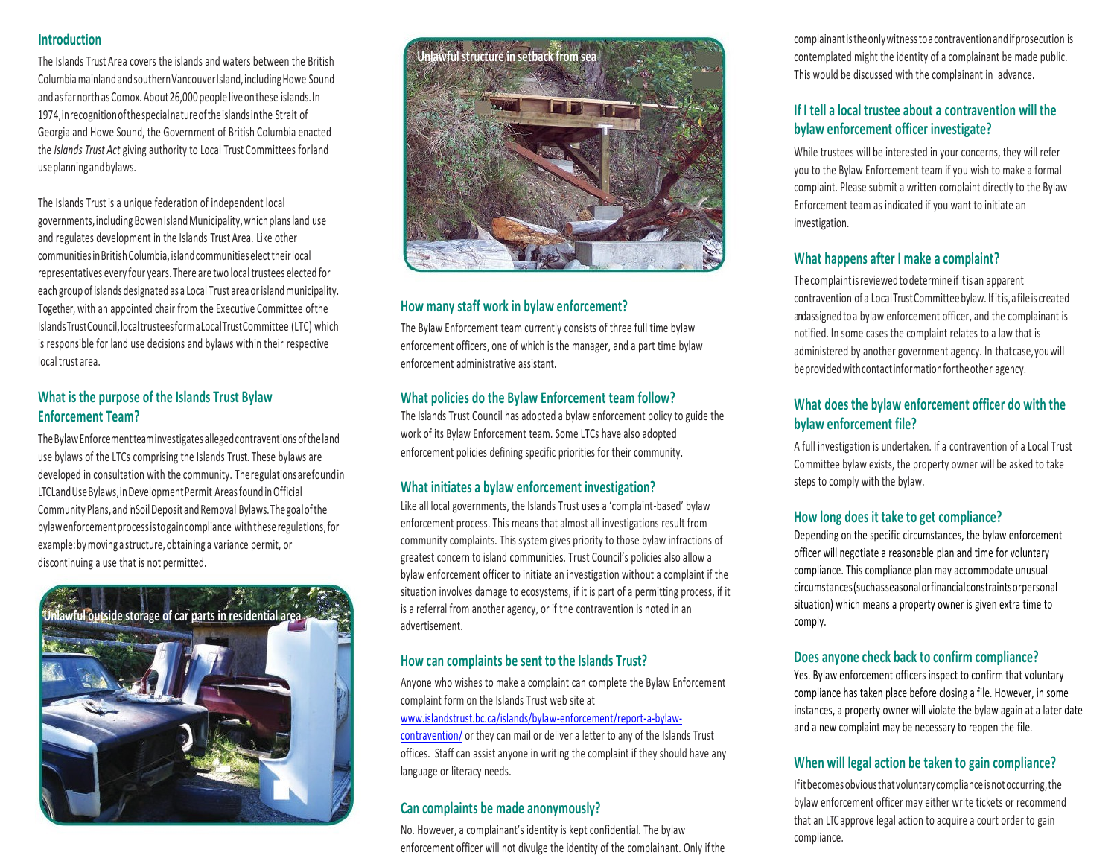#### **Introduction**

The Islands Trust Area covers the islands and waters between the British ColumbiamainlandandsouthernVancouverIsland,includingHowe Sound and as far north as Comox. About 26,000 people live on these islands. In 1974,inrecognitionofthespecialnatureoftheislandsinthe Strait of Georgia and Howe Sound, the Government of British Columbia enacted the *Islands Trust Act* giving authority to Local Trust Committees forland useplanningandbylaws.

The Islands Trust is a unique federation of independent local governments, including Bowen Island Municipality, which plans land use and regulates development in the Islands Trust Area. Like other communitiesinBritishColumbia,islandcommunitieselecttheirlocal representatives every four years. There are two local trustees elected for each group of islands designated as a Local Trust area or island municipality. Together, with an appointed chair from the Executive Committee ofthe Islands TrustCouncil, localtrusteesformaLocalTrustCommittee (LTC) which is responsible for land use decisions and bylaws within their respective local trust area.

#### **What is the purpose of the Islands Trust Bylaw Enforcement Team?**

TheBylawEnforcementteaminvestigates allegedcontraventionsoftheland use bylaws of the LTCs comprising the Islands Trust. These bylaws are developed in consultation with the community. Theregulationsarefoundin LTCLandUseBylaws,inDevelopmentPermit Areasfound inOfficial Community Plans, and in Soil Deposit and Removal Bylaws. The goal of the bylawenforcementprocessistogaincompliance withthese regulations,for example:bymoving a structure, obtaining a variance permit, or discontinuing a use that is not permitted.





#### **How many staff work in bylaw enforcement?**

The Bylaw Enforcement team currently consists of three full time bylaw enforcement officers, one of which is the manager, and a part time bylaw enforcement administrative assistant.

# **What policies do the Bylaw Enforcement team follow?**

The Islands Trust Council has adopted a bylaw enforcement policy to guide the work of its Bylaw Enforcement team. Some LTCs have also adopted enforcement policies defining specific priorities for their community.

#### **What initiates a bylaw enforcement investigation?**

Like all local governments, the Islands Trust uses a 'complaint-based' bylaw enforcement process. This means that almost all investigations result from community complaints. This system gives priority to those bylaw infractions of greatest concern to island communities. Trust Council's policies also allow a bylaw enforcement officer to initiate an investigation without a complaint if the situation involves damage to ecosystems, if it is part of a permitting process, if it is a referral from another agency, or if the contravention is noted in an advertisement.

#### **How can complaints be sent to the Islands Trust?**

Anyone who wishes to make a complaint can complete the Bylaw Enforcement complaint form on the Islands Trust web site at

#### [www.islandstrust.bc.ca/islands/bylaw-enforcement/report-a-bylaw-](http://www.islandstrust.bc.ca/islands/bylaw-enforcement/report-a-bylaw-violation/)

[contravention/](http://www.islandstrust.bc.ca/islands/bylaw-enforcement/report-a-bylaw-violation/) or they can mail or deliver a letter to any of the Islands Trust offices. Staff can assist anyone in writing the complaint if they should have any language or literacy needs.

#### **Can complaints be made anonymously?**

No. However, a complainant's identity is kept confidential. The bylaw enforcement officer will not divulge the identity of the complainant. Only ifthe complainantistheonlywitnesstoacontraventionandifprosecution is contemplated might the identity of a complainant be made public. This would be discussed with the complainant in advance.

# **If I tell a local trustee about a contravention will the bylaw enforcement officer investigate?**

While trustees will be interested in your concerns, they will refer you to the Bylaw Enforcement team if you wish to make a formal complaint. Please submit a written complaint directly to the Bylaw Enforcement team as indicated if you want to initiate an investigation.

# **What happens after I make a complaint?**

The complaintisreviewedtodetermine ifitis an apparent contravention of a LocalTrustCommitteebylaw. Ifitis,afileis created and assigned to a bylaw enforcement officer, and the complainant is notified. In some cases the complaint relates to a law that is administered by another government agency. In thatcase,youwill beprovidedwithcontactinformationfortheother agency.

# **What does the bylaw enforcement officer do with the bylaw enforcement file?**

A full investigation is undertaken. If a contravention of a Local Trust Committee bylaw exists, the property owner will be asked to take steps to comply with the bylaw.

#### **How long does it take to get compliance?**

Depending on the specific circumstances, the bylaw enforcement officer will negotiate a reasonable plan and time for voluntary compliance. This compliance plan may accommodate unusual circumstances(suchasseasonalorfinancialconstraintsorpersonal situation) which means a property owner is given extra time to comply.

#### **Does anyone check back to confirm compliance?**

Yes. Bylaw enforcement officers inspect to confirm that voluntary compliance has taken place before closing a file. However, in some instances, a property owner will violate the bylaw again at a later date and a new complaint may be necessary to reopen the file.

#### **When will legal action be taken to gain compliance?**

Ifitbecomesobviousthatvoluntarycomplianceisnotoccurring,the bylaw enforcement officer may either write tickets or recommend that an LTC approve legal action to acquire a court order to gain compliance.